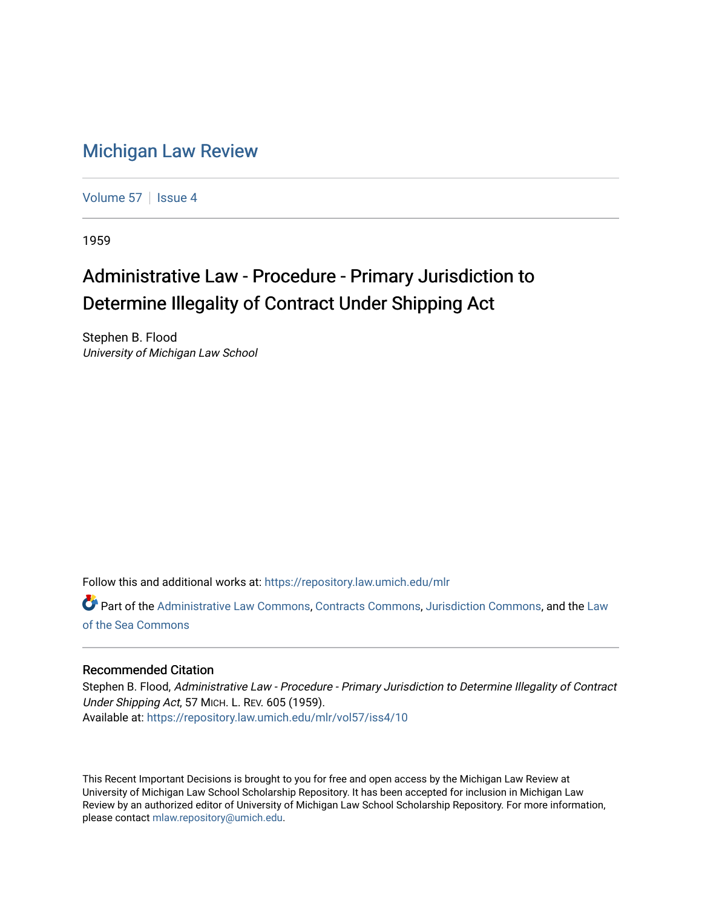## [Michigan Law Review](https://repository.law.umich.edu/mlr)

[Volume 57](https://repository.law.umich.edu/mlr/vol57) | [Issue 4](https://repository.law.umich.edu/mlr/vol57/iss4)

1959

# Administrative Law - Procedure - Primary Jurisdiction to Determine Illegality of Contract Under Shipping Act

Stephen B. Flood University of Michigan Law School

Follow this and additional works at: [https://repository.law.umich.edu/mlr](https://repository.law.umich.edu/mlr?utm_source=repository.law.umich.edu%2Fmlr%2Fvol57%2Fiss4%2F10&utm_medium=PDF&utm_campaign=PDFCoverPages) 

Part of the [Administrative Law Commons,](http://network.bepress.com/hgg/discipline/579?utm_source=repository.law.umich.edu%2Fmlr%2Fvol57%2Fiss4%2F10&utm_medium=PDF&utm_campaign=PDFCoverPages) [Contracts Commons](http://network.bepress.com/hgg/discipline/591?utm_source=repository.law.umich.edu%2Fmlr%2Fvol57%2Fiss4%2F10&utm_medium=PDF&utm_campaign=PDFCoverPages), [Jurisdiction Commons](http://network.bepress.com/hgg/discipline/850?utm_source=repository.law.umich.edu%2Fmlr%2Fvol57%2Fiss4%2F10&utm_medium=PDF&utm_campaign=PDFCoverPages), and the Law [of the Sea Commons](http://network.bepress.com/hgg/discipline/855?utm_source=repository.law.umich.edu%2Fmlr%2Fvol57%2Fiss4%2F10&utm_medium=PDF&utm_campaign=PDFCoverPages)

### Recommended Citation

Stephen B. Flood, Administrative Law - Procedure - Primary Jurisdiction to Determine Illegality of Contract Under Shipping Act, 57 MICH. L. REV. 605 (1959). Available at: [https://repository.law.umich.edu/mlr/vol57/iss4/10](https://repository.law.umich.edu/mlr/vol57/iss4/10?utm_source=repository.law.umich.edu%2Fmlr%2Fvol57%2Fiss4%2F10&utm_medium=PDF&utm_campaign=PDFCoverPages) 

This Recent Important Decisions is brought to you for free and open access by the Michigan Law Review at University of Michigan Law School Scholarship Repository. It has been accepted for inclusion in Michigan Law Review by an authorized editor of University of Michigan Law School Scholarship Repository. For more information, please contact [mlaw.repository@umich.edu.](mailto:mlaw.repository@umich.edu)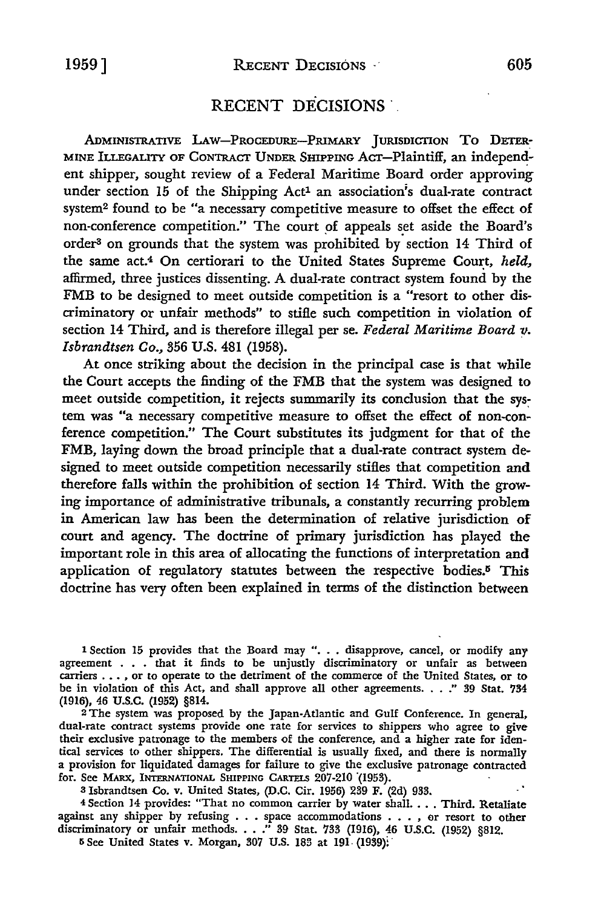### RECENT DECISIONS

ADMINISTRATIVE LAw-PRoCEDURE-PRIMARY JURISDICTION To DETER-MINE ILLEGALITY OF CONTRACT UNDER SHIPPING ACT-Plaintiff, an independent shipper, sought review of a Federal Maritime Board order approving under section 15 of the Shipping Act<sup>1</sup> an association's dual-rate contract system2 found to be "a necessary competitive measure to offset the effect of non-conference competition." The court of appeals set aside the Board's order3 on grounds that the system was prohibited by section 14 Third of the same act.<sup>4</sup> On certiorari to the United States Supreme Court, *held*, affirmed, three justices dissenting. A dual-rate contract system found by the FMB to be designed to meet outside competition is a "resort to other discriminatory or unfair methods" to stifle such competition in violation of section 14 Third, and is therefore illegal per se. Federal Maritime Board v. *Isbrandtsen Co.,* 356 U.S. 481 (1958).

At once striking about the decision in the principal case is that while the Court accepts the finding of the FMB that the system was designed to meet outside competition, it rejects summarily its conclusion that the system was "a necessary competitive measure to offset the effect of non-conference competition." The Court substitutes its judgment for that of the FMB, laying down the broad principle that a dual-rate contract system designed to meet outside competition necessarily stifles that competition and therefore falls within the prohibition of section 14 Third. With the growing importance of administrative tribunals, a constantly recurring problem in American law bas been the determination of relative jurisdiction of court and agency. The doctrine of primary jurisdiction has played the important role in this area of allocating the functions of interpretation and application of regulatory statutes between the respective bodies.<sup>5</sup> This doctrine has very often been explained in terms of the distinction between

1 Section 15 provides that the Board may ". . . disapprove, cancel, or modify any agreement . . . that it finds to be unjustly discriminatory or unfair as between carriers . . . , or to operate to the detriment of the commerce of the United States, or to be in violation of this Act, and shall approve all other agreements. . . .'' 39 Stat. 734 (1916), 46 u.s.c. (1952) §814.

<sup>2</sup>The system was proposed by the Japan-Atlantic and Gulf Conference. In general, dual-rate contract systems provide one rate for services to shippers who agree to give their exclusive patronage to the members of the conference, and a higher rate for identical services to other shippers. The differential is usually fixed, and there is normally a provision for liquidated damages for failure to give the exclusive patronage contracted for. See MARX, INTERNATIONAL SHIPPING CARTELS 207-210 (1953).

3 Isbrandtsen Co. v. United States, (D.C. Cir. 1956) 239 F. (2d) 933.

<sup>4</sup>Section 14 provides: "That no common carrier by water shall .... Third. Retaliate against any shipper by refusing . . . space accommodations . . . , or resort to other discriminatory or unfair methods. . . .'' 39 Stat. 733 (1916), 46 U.S.C. (1952) §812.

IS See United States v. Morgan, 307 U.S. 183 at 191- (1939): ·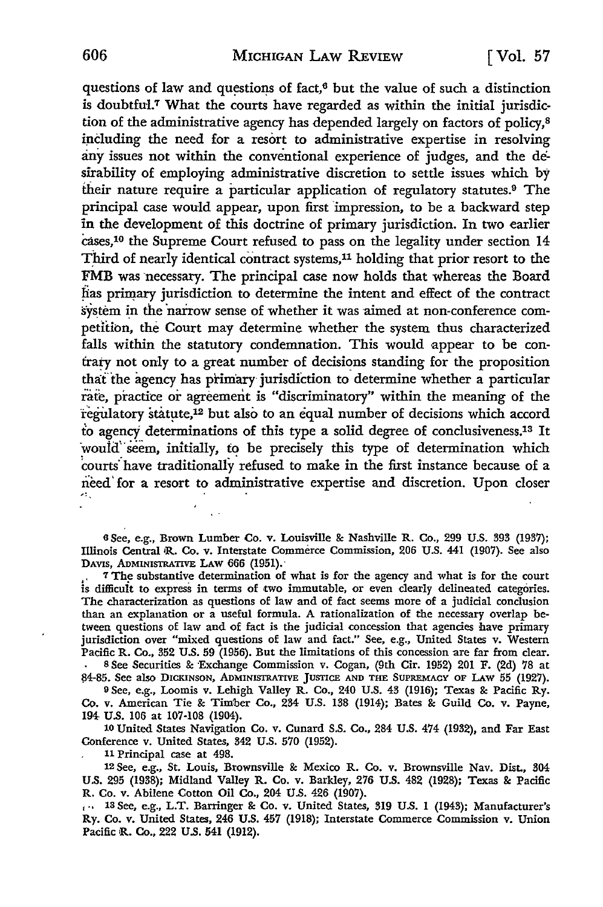questions of law and questions of fact, $6$  but the value of such a distinction is doubtful.<sup>7</sup> What the courts have regarded as within the initial jurisdiction of the administrative agency has depended largely on factors of policy,<sup>8</sup> including the need for a resort to administrative expertise in resolving any issues not within the conventional experience of judges, and the desirability of employing administrative discretion to settle issues which by their nature require a particular application of regulatory statutes.9 The principal case would appear, upon first impression, to be a backward step in the development of this doctrine of primary jurisdiction. In two earlier cases,10 the Supreme Court refused to pass on the legality under section 14 Third of nearly identical contract systems, $11$  holding that prior resort to the FMB was necessary. The principal case now holds that whereas the Board has primary jurisdiction to determine the intent and effect of the contract system in the narrow sense of whether it was aimed at non-conference competition, the Court may determine whether the system thus characterized falls within the statutory condemnation. This would appear to be contrary not only to a great number of decisions standing for the proposition that the agency has primary jurisdiction to determine whether a particular rate, practice or agreement is "discriminatory" within the meaning of the regulatory statute,<sup>12</sup> but also to an equal number of decisions which accord to agency determinations of this type a solid degree of conclusiveness.13 It would seem, initially, to be precisely this type of determination which courts have traditionally refused to make in the first instance because of a need for a resort to administrative expertise and discretion. Upon closer

6 See, e.g., Brown Lumber Co. v. Louisville & Nashville R. Co., 299 U.S. 393 (1937); Illinois Central iR. Co. v. Interstate Commerce Commission, 206 U.S. 441 (1907). See also DAVIS, ADMINISTRATIVE LAW 666 (1951).

. 7 The substantive determination of what is for the agency and what is for the court is difficult to express in terms of two immutable, or even clearly delineated categories. The characterization as questions of law and of fact seems more of a judicial conclusion than an explanation or a useful formula. A rationalization of the necessary overlap between questions of law and of fact is the judicial concession that agencies have primary jurisdiction over "mixed questions of law and fact.'' See, e.g., United States v. Western Pacific R. Co., 352 U.S. 59 (1956). But the limitations of this concession are far from clear. 8 See Securities & Exchange Commission v. Cogan, (9th Cir. 1952) 201 F. (2d) 78 at

!!4-85. See also DICKINSON, ADMINISTRATIVE JUSTICE AND THE SUPREMACY OF **LAW** 55 (1927). <sup>9</sup>See, e.g., Loomis v. Lehigh Valley R. Co., 240 U.S. 43 (1916); Texas & Pacific Ry.

Co. v. American Tie & Timber Co., 234 U.S. 138 (1914); Bates & Guild Co. v. Payne, 194- U.S. 106 at 107-108 (1904).

10 United States Navigation Co. v. Cunard S.S. Co., 284 U.S. 474 (1932), and Far East Conference v. United States, 342 U.S. 570 (1952).

<sup>11</sup>Principal case at 498.

12 See, e.g., St. Louis, Brownsville & Mexico R. Co. v. Brownsville Nav. Dist., 304 U.S. 295 (1938); Midland Valley R. Co. v. Barkley, 276 U.S. 482 (1928); Texas & Pacific R. Co. v. Abilene Cotton Oil Co., 204 U.S. 426 (1907).

, •· 13 See, e.g., L.T. Barringer & Co. v. United States, 319 U.S. 1 (1943); Manufacturer's Ry. Co. v. United States, 246 U.S. 457 (1918); Interstate Commerce Commission v. Union Pacific iR. Co., 222 U.S. 541 (1912).